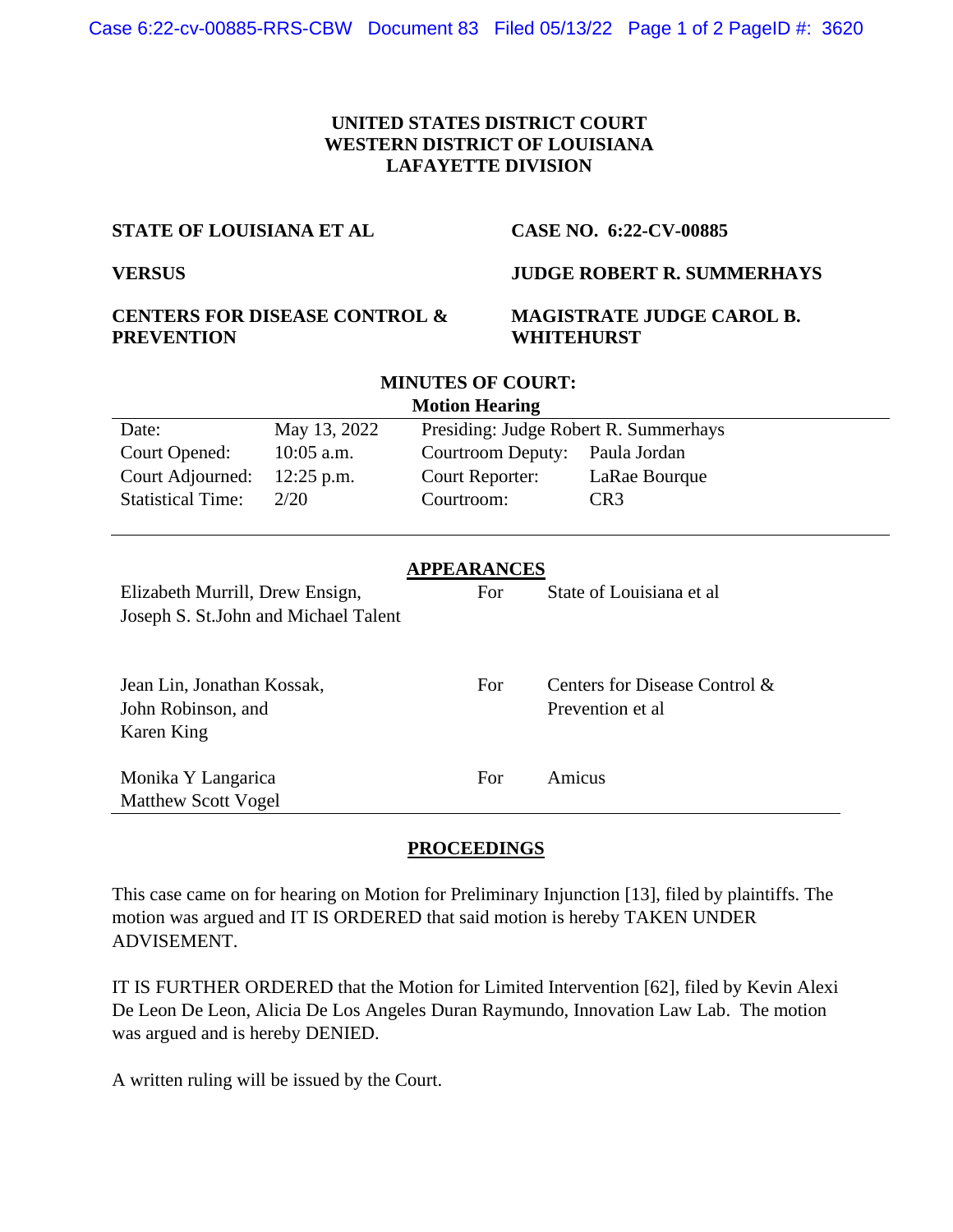## **UNITED STATES DISTRICT COURT WESTERN DISTRICT OF LOUISIANA LAFAYETTE DIVISION**

**MINUTES OF COURT:**

### **STATE OF LOUISIANA ET AL CASE NO. 6:22-CV-00885**

# **VERSUS JUDGE ROBERT R. SUMMERHAYS**

# **CENTERS FOR DISEASE CONTROL & PREVENTION**

## **MAGISTRATE JUDGE CAROL B. WHITEHURST**

| <b>Motion Hearing</b>                 |                                                       |                   |                  |                               |
|---------------------------------------|-------------------------------------------------------|-------------------|------------------|-------------------------------|
| Date:                                 | May 13, 2022<br>Presiding: Judge Robert R. Summerhays |                   |                  |                               |
| Court Opened:                         | $10:05$ a.m.                                          | Courtroom Deputy: |                  | Paula Jordan                  |
| Court Adjourned:                      | $12:25$ p.m.                                          | Court Reporter:   |                  | LaRae Bourque                 |
| <b>Statistical Time:</b>              | 2/20                                                  | Courtroom:        |                  | CR <sub>3</sub>               |
|                                       |                                                       |                   |                  |                               |
| <b>APPEARANCES</b>                    |                                                       |                   |                  |                               |
| Elizabeth Murrill, Drew Ensign,       |                                                       | For               |                  | State of Louisiana et al      |
| Joseph S. St. John and Michael Talent |                                                       |                   |                  |                               |
|                                       |                                                       |                   |                  |                               |
| Jean Lin, Jonathan Kossak,            |                                                       | For               |                  | Centers for Disease Control & |
| John Robinson, and                    |                                                       |                   | Prevention et al |                               |
| Karen King                            |                                                       |                   |                  |                               |
|                                       |                                                       |                   |                  |                               |
| Monika Y Langarica                    |                                                       | For               | Amicus           |                               |
| <b>Matthew Scott Vogel</b>            |                                                       |                   |                  |                               |

## **PROCEEDINGS**

This case came on for hearing on Motion for Preliminary Injunction [13], filed by plaintiffs. The motion was argued and IT IS ORDERED that said motion is hereby TAKEN UNDER ADVISEMENT.

IT IS FURTHER ORDERED that the Motion for Limited Intervention [62], filed by Kevin Alexi De Leon De Leon, Alicia De Los Angeles Duran Raymundo, Innovation Law Lab. The motion was argued and is hereby DENIED.

A written ruling will be issued by the Court.